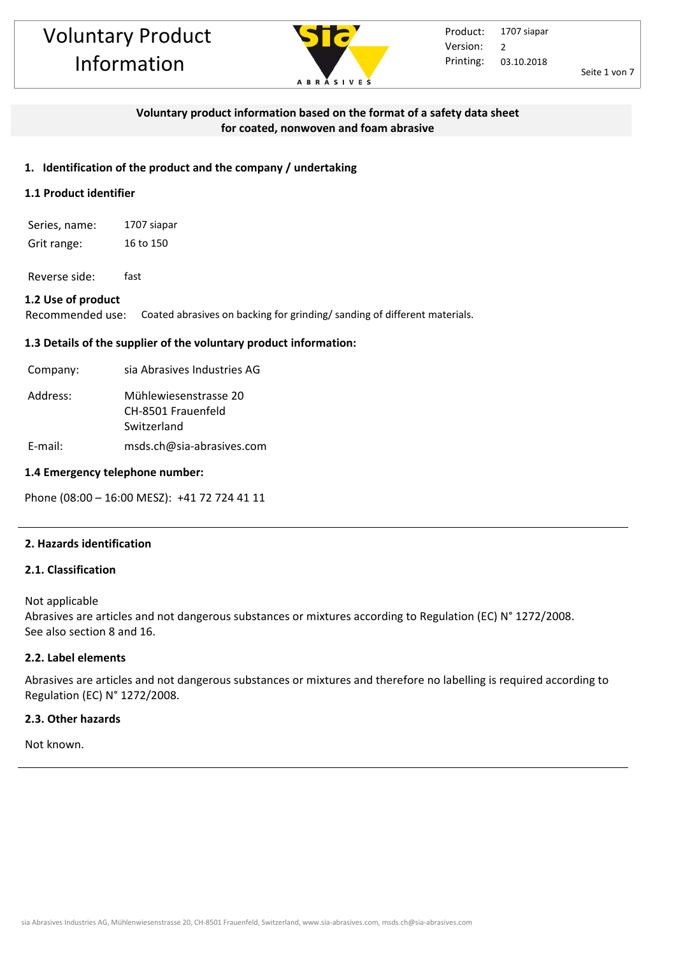

Seite 1 von 7

### **Voluntary product information based on the format of a safety data sheet for coated, nonwoven and foam abrasive**

#### **1. Identification of the product and the company / undertaking**

### **1.1 Product identifier**

Series, name: 1707 siapar Grit range: 16 to 150

Reverse side: fast

#### **1.2 Use of product**

Recommended use: Coated abrasives on backing for grinding/ sanding of different materials.

#### **1.3 Details of the supplier of the voluntary product information:**

| Company: | sia Abrasives Industries AG                                |
|----------|------------------------------------------------------------|
| Address: | Mühlewiesenstrasse 20<br>CH-8501 Frauenfeld<br>Switzerland |

E-mail: msds.ch@sia-abrasives.com

#### **1.4 Emergency telephone number:**

Phone (08:00 – 16:00 MESZ): +41 72 724 41 11

#### **2. Hazards identification**

#### **2.1. Classification**

Not applicable

Abrasives are articles and not dangerous substances or mixtures according to Regulation (EC) N° 1272/2008. See also section 8 and 16.

#### **2.2. Label elements**

Abrasives are articles and not dangerous substances or mixtures and therefore no labelling is required according to Regulation (EC) N° 1272/2008.

#### **2.3. Other hazards**

Not known.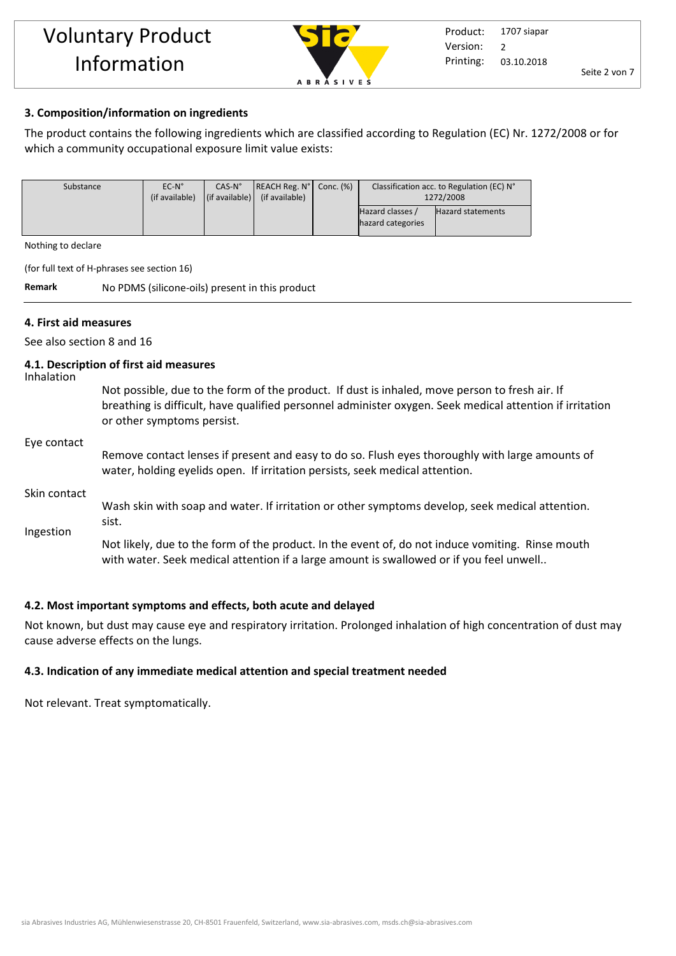

# **3. Composition/information on ingredients**

The product contains the following ingredients which are classified according to Regulation (EC) Nr. 1272/2008 or for which a community occupational exposure limit value exists:

| Substance | $EC-N^{\circ}$ | $CAS-N°$                       | $ REACH Reg. N^{\circ} $ Conc. $(\%)$ | Classification acc. to Regulation (EC) N° |                   |
|-----------|----------------|--------------------------------|---------------------------------------|-------------------------------------------|-------------------|
|           | (if available) | $\vert$ (if available) $\vert$ | (if available)                        | 1272/2008                                 |                   |
|           |                |                                |                                       | Hazard classes /<br>hazard categories     | Hazard statements |

Nothing to declare

(for full text of H-phrases see section 16)

**Remark** No PDMS (silicone-oils) present in this product

# **4. First aid measures**

See also section 8 and 16

# **4.1. Description of first aid measures**

Inhalation

Not possible, due to the form of the product. If dust is inhaled, move person to fresh air. If breathing is difficult, have qualified personnel administer oxygen. Seek medical attention if irritation or other symptoms persist.

#### Eye contact

Remove contact lenses if present and easy to do so. Flush eyes thoroughly with large amounts of water, holding eyelids open. If irritation persists, seek medical attention.

#### Skin contact

Ingestion Wash skin with soap and water. If irritation or other symptoms develop, seek medical attention. sist.

Not likely, due to the form of the product. In the event of, do not induce vomiting. Rinse mouth with water. Seek medical attention if a large amount is swallowed or if you feel unwell..

### **4.2. Most important symptoms and effects, both acute and delayed**

Not known, but dust may cause eye and respiratory irritation. Prolonged inhalation of high concentration of dust may cause adverse effects on the lungs.

# **4.3. Indication of any immediate medical attention and special treatment needed**

Not relevant. Treat symptomatically.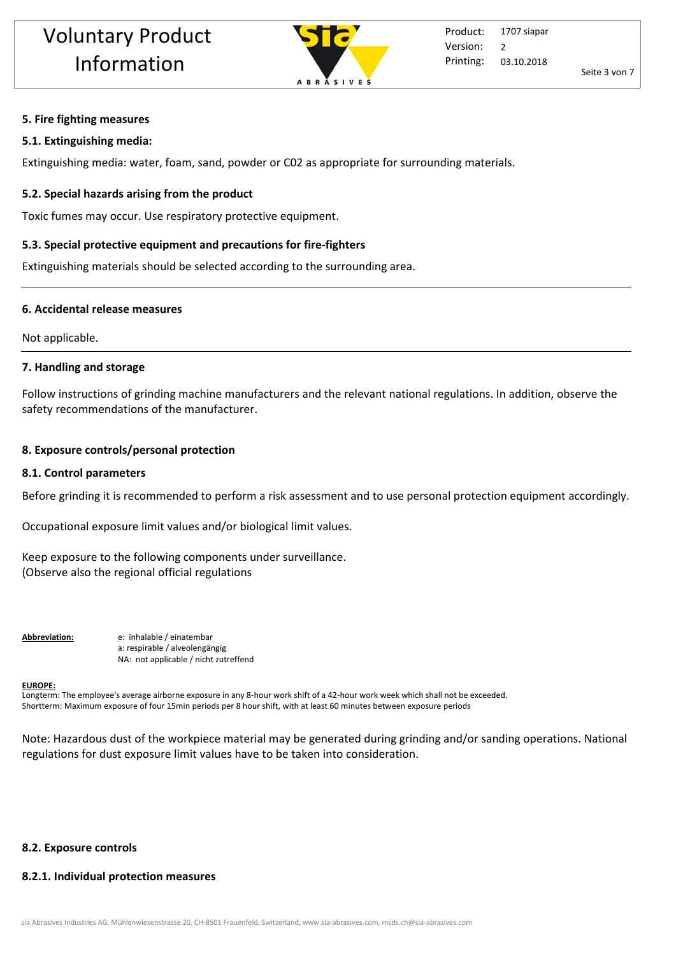

### **5. Fire fighting measures**

### **5.1. Extinguishing media:**

Extinguishing media: water, foam, sand, powder or C02 as appropriate for surrounding materials.

# **5.2. Special hazards arising from the product**

Toxic fumes may occur. Use respiratory protective equipment.

# **5.3. Special protective equipment and precautions for fire-fighters**

Extinguishing materials should be selected according to the surrounding area.

### **6. Accidental release measures**

Not applicable.

### **7. Handling and storage**

Follow instructions of grinding machine manufacturers and the relevant national regulations. In addition, observe the safety recommendations of the manufacturer.

# **8. Exposure controls/personal protection**

### **8.1. Control parameters**

Before grinding it is recommended to perform a risk assessment and to use personal protection equipment accordingly.

Occupational exposure limit values and/or biological limit values.

Keep exposure to the following components under surveillance. (Observe also the regional official regulations

**Abbreviation:** e: inhalable / einatembar a: respirable / alveolengängig NA: not applicable / nicht zutreffend

#### **EUROPE:**

Longterm: The employee's average airborne exposure in any 8-hour work shift of a 42-hour work week which shall not be exceeded. Shortterm: Maximum exposure of four 15min periods per 8 hour shift, with at least 60 minutes between exposure periods

Note: Hazardous dust of the workpiece material may be generated during grinding and/or sanding operations. National regulations for dust exposure limit values have to be taken into consideration.

# **8.2. Exposure controls**

# **8.2.1. Individual protection measures**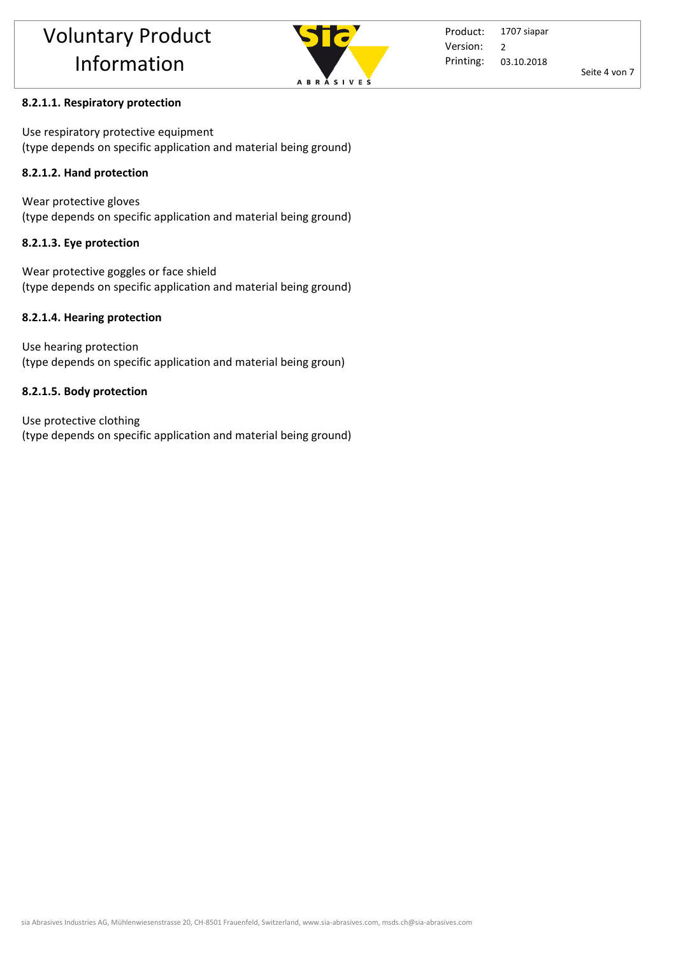

Product: Printing: 1707 siapar 03.10.2018 Version: 2

Seite 4 von 7

# **8.2.1.1. Respiratory protection**

Use respiratory protective equipment (type depends on specific application and material being ground)

# **8.2.1.2. Hand protection**

Wear protective gloves (type depends on specific application and material being ground)

# **8.2.1.3. Eye protection**

Wear protective goggles or face shield (type depends on specific application and material being ground)

# **8.2.1.4. Hearing protection**

Use hearing protection (type depends on specific application and material being groun)

# **8.2.1.5. Body protection**

Use protective clothing (type depends on specific application and material being ground)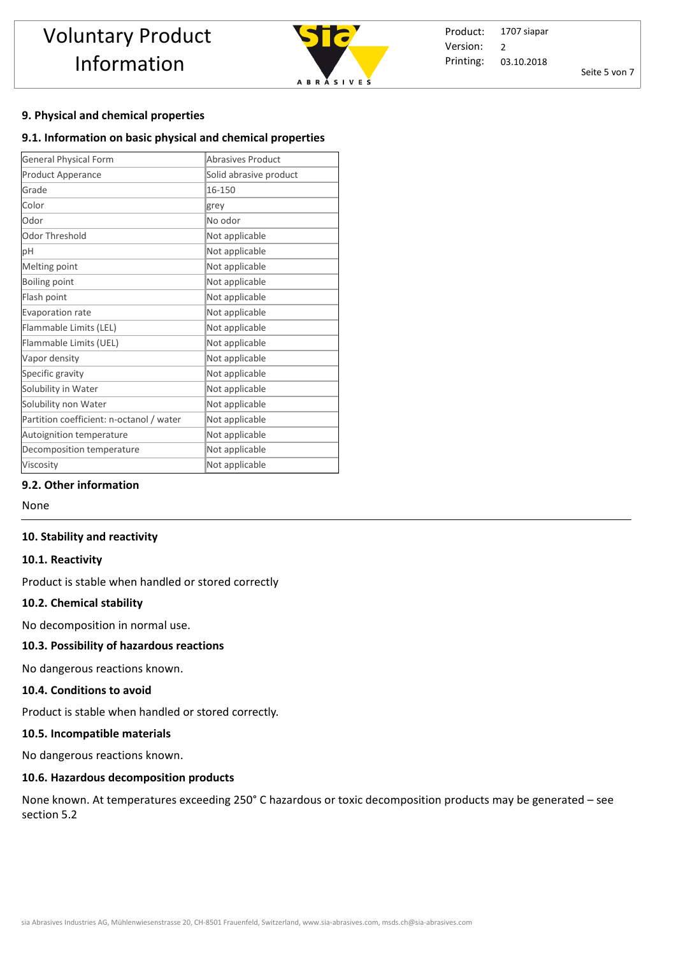

Product: Printing: 1707 siapar 03.10.2018 Version: 2

Seite 5 von 7

### **9. Physical and chemical properties**

### **9.1. Information on basic physical and chemical properties**

| <b>General Physical Form</b>             | Abrasives Product      |
|------------------------------------------|------------------------|
| Product Apperance                        | Solid abrasive product |
| Grade                                    | 16-150                 |
| Color                                    | grey                   |
| Odor                                     | No odor                |
| Odor Threshold                           | Not applicable         |
| рH                                       | Not applicable         |
| Melting point                            | Not applicable         |
| Boiling point                            | Not applicable         |
| Flash point                              | Not applicable         |
| Evaporation rate                         | Not applicable         |
| Flammable Limits (LEL)                   | Not applicable         |
| Flammable Limits (UEL)                   | Not applicable         |
| Vapor density                            | Not applicable         |
| Specific gravity                         | Not applicable         |
| Solubility in Water                      | Not applicable         |
| Solubility non Water                     | Not applicable         |
| Partition coefficient: n-octanol / water | Not applicable         |
| Autoignition temperature                 | Not applicable         |
| Decomposition temperature                | Not applicable         |
| Viscosity                                | Not applicable         |

# **9.2. Other information**

None

#### **10. Stability and reactivity**

#### **10.1. Reactivity**

Product is stable when handled or stored correctly

#### **10.2. Chemical stability**

No decomposition in normal use.

#### **10.3. Possibility of hazardous reactions**

No dangerous reactions known.

#### **10.4. Conditions to avoid**

Product is stable when handled or stored correctly. 

#### **10.5. Incompatible materials**

No dangerous reactions known.

#### **10.6. Hazardous decomposition products**

None known. At temperatures exceeding 250° C hazardous or toxic decomposition products may be generated – see section 5.2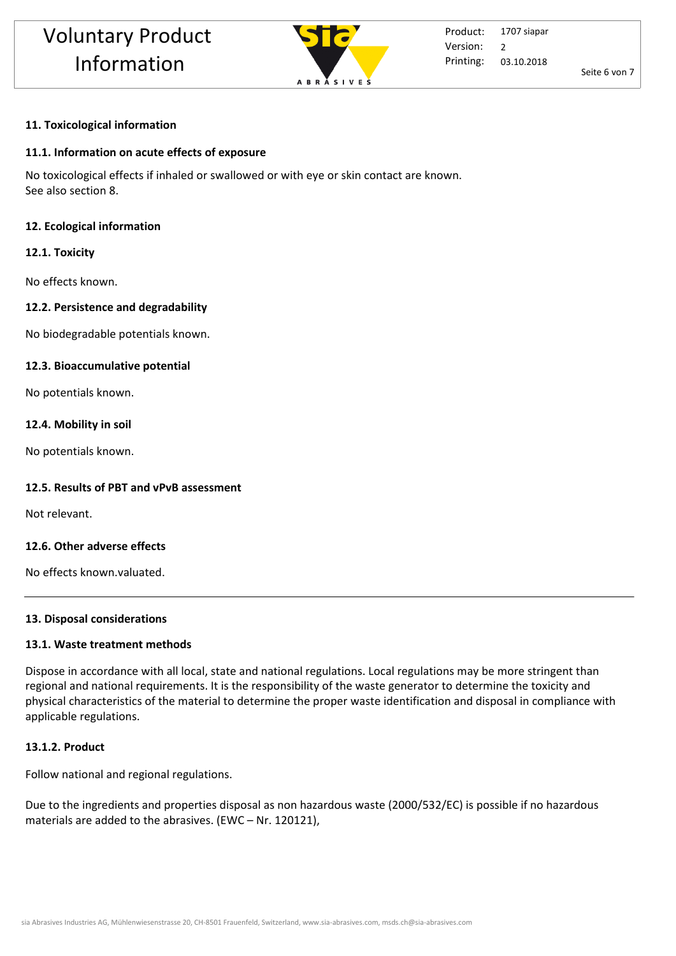

Seite 6 von 7

#### **11. Toxicological information**

#### **11.1. Information on acute effects of exposure**

No toxicological effects if inhaled or swallowed or with eye or skin contact are known. See also section 8.

#### **12. Ecological information**

#### **12.1. Toxicity**

No effects known.

#### **12.2. Persistence and degradability**

No biodegradable potentials known.

#### **12.3. Bioaccumulative potential**

No potentials known.

#### **12.4. Mobility in soil**

No potentials known.

#### **12.5. Results of PBT and vPvB assessment**

Not relevant.

#### **12.6. Other adverse effects**

No effects known.valuated.

#### **13. Disposal considerations**

#### **13.1. Waste treatment methods**

Dispose in accordance with all local, state and national regulations. Local regulations may be more stringent than regional and national requirements. It is the responsibility of the waste generator to determine the toxicity and physical characteristics of the material to determine the proper waste identification and disposal in compliance with applicable regulations.

#### **13.1.2. Product**

Follow national and regional regulations.

Due to the ingredients and properties disposal as non hazardous waste (2000/532/EC) is possible if no hazardous materials are added to the abrasives. (EWC – Nr. 120121),